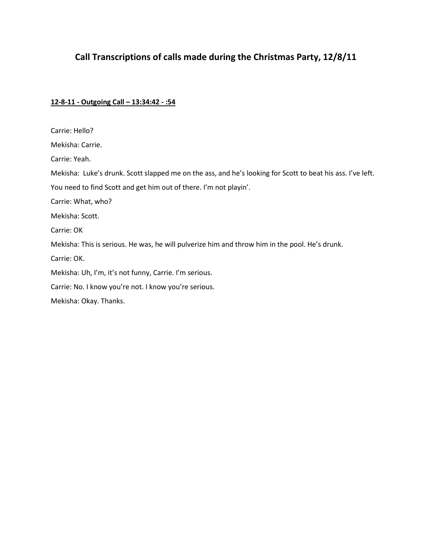# **Call Transcriptions of calls made during the Christmas Party, 12/8/11**

# **12-8-11 - Outgoing Call – 13:34:42 - :54**

| Carrie: Hello?                                                                                             |
|------------------------------------------------------------------------------------------------------------|
| Mekisha: Carrie.                                                                                           |
| Carrie: Yeah.                                                                                              |
| Mekisha: Luke's drunk. Scott slapped me on the ass, and he's looking for Scott to beat his ass. I've left. |
| You need to find Scott and get him out of there. I'm not playin'.                                          |
| Carrie: What, who?                                                                                         |
| Mekisha: Scott.                                                                                            |
| Carrie: OK                                                                                                 |
| Mekisha: This is serious. He was, he will pulverize him and throw him in the pool. He's drunk.             |
| Carrie: OK.                                                                                                |
| Mekisha: Uh, I'm, it's not funny, Carrie. I'm serious.                                                     |
| Carrie: No. I know you're not. I know you're serious.                                                      |
| Mekisha: Okay. Thanks.                                                                                     |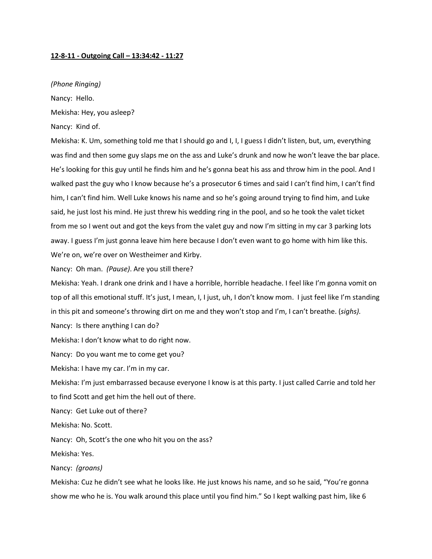#### **12-8-11 - Outgoing Call – 13:34:42 - 11:27**

#### *(Phone Ringing)*

Nancy: Hello.

Mekisha: Hey, you asleep?

Nancy: Kind of.

Mekisha: K. Um, something told me that I should go and I, I, I guess I didn't listen, but, um, everything was find and then some guy slaps me on the ass and Luke's drunk and now he won't leave the bar place. He's looking for this guy until he finds him and he's gonna beat his ass and throw him in the pool. And I walked past the guy who I know because he's a prosecutor 6 times and said I can't find him, I can't find him, I can't find him. Well Luke knows his name and so he's going around trying to find him, and Luke said, he just lost his mind. He just threw his wedding ring in the pool, and so he took the valet ticket from me so I went out and got the keys from the valet guy and now I'm sitting in my car 3 parking lots away. I guess I'm just gonna leave him here because I don't even want to go home with him like this. We're on, we're over on Westheimer and Kirby.

Nancy: Oh man. *(Pause)*. Are you still there?

Mekisha: Yeah. I drank one drink and I have a horrible, horrible headache. I feel like I'm gonna vomit on top of all this emotional stuff. It's just, I mean, I, I just, uh, I don't know mom. I just feel like I'm standing in this pit and someone's throwing dirt on me and they won't stop and I'm, I can't breathe. (*sighs).*

Nancy: Is there anything I can do?

Mekisha: I don't know what to do right now.

Nancy: Do you want me to come get you?

Mekisha: I have my car. I'm in my car.

Mekisha: I'm just embarrassed because everyone I know is at this party. I just called Carrie and told her to find Scott and get him the hell out of there.

Nancy: Get Luke out of there?

Mekisha: No. Scott.

Nancy: Oh, Scott's the one who hit you on the ass?

Mekisha: Yes.

Nancy: *(groans)*

Mekisha: Cuz he didn't see what he looks like. He just knows his name, and so he said, "You're gonna show me who he is. You walk around this place until you find him." So I kept walking past him, like 6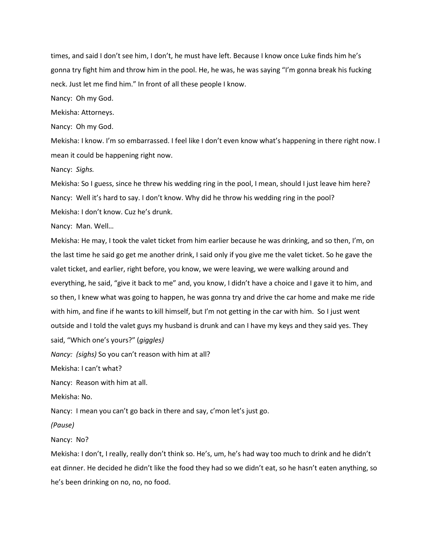times, and said I don't see him, I don't, he must have left. Because I know once Luke finds him he's gonna try fight him and throw him in the pool. He, he was, he was saying "I'm gonna break his fucking neck. Just let me find him." In front of all these people I know.

Nancy: Oh my God.

Mekisha: Attorneys.

Nancy: Oh my God.

Mekisha: I know. I'm so embarrassed. I feel like I don't even know what's happening in there right now. I mean it could be happening right now.

Nancy: *Sighs.*

Mekisha: So I guess, since he threw his wedding ring in the pool, I mean, should I just leave him here? Nancy: Well it's hard to say. I don't know. Why did he throw his wedding ring in the pool? Mekisha: I don't know. Cuz he's drunk.

Nancy: Man. Well…

Mekisha: He may, I took the valet ticket from him earlier because he was drinking, and so then, I'm, on the last time he said go get me another drink, I said only if you give me the valet ticket. So he gave the valet ticket, and earlier, right before, you know, we were leaving, we were walking around and everything, he said, "give it back to me" and, you know, I didn't have a choice and I gave it to him, and so then, I knew what was going to happen, he was gonna try and drive the car home and make me ride with him, and fine if he wants to kill himself, but I'm not getting in the car with him. So I just went outside and I told the valet guys my husband is drunk and can I have my keys and they said yes. They said, "Which one's yours?" (*giggles)*

*Nancy: (sighs)* So you can't reason with him at all?

Mekisha: I can't what?

Nancy: Reason with him at all.

Mekisha: No.

Nancy: I mean you can't go back in there and say, c'mon let's just go.

*(Pause)*

Nancy: No?

Mekisha: I don't, I really, really don't think so. He's, um, he's had way too much to drink and he didn't eat dinner. He decided he didn't like the food they had so we didn't eat, so he hasn't eaten anything, so he's been drinking on no, no, no food.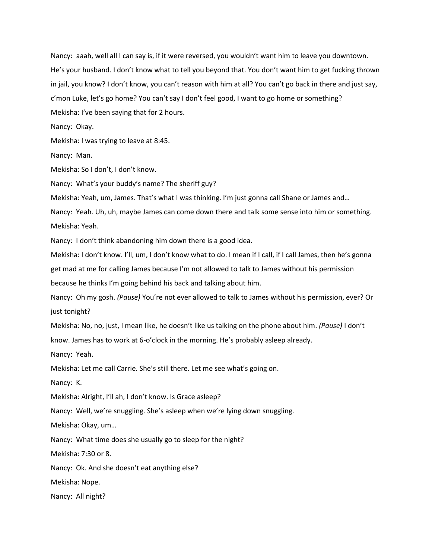Nancy: aaah, well all I can say is, if it were reversed, you wouldn't want him to leave you downtown. He's your husband. I don't know what to tell you beyond that. You don't want him to get fucking thrown in jail, you know? I don't know, you can't reason with him at all? You can't go back in there and just say, c'mon Luke, let's go home? You can't say I don't feel good, I want to go home or something? Mekisha: I've been saying that for 2 hours.

Nancy: Okay.

Mekisha: I was trying to leave at 8:45.

Nancy: Man.

Mekisha: So I don't, I don't know.

Nancy: What's your buddy's name? The sheriff guy?

Mekisha: Yeah, um, James. That's what I was thinking. I'm just gonna call Shane or James and…

Nancy: Yeah. Uh, uh, maybe James can come down there and talk some sense into him or something. Mekisha: Yeah.

Nancy: I don't think abandoning him down there is a good idea.

Mekisha: I don't know. I'll, um, I don't know what to do. I mean if I call, if I call James, then he's gonna get mad at me for calling James because I'm not allowed to talk to James without his permission because he thinks I'm going behind his back and talking about him.

Nancy: Oh my gosh. *(Pause)* You're not ever allowed to talk to James without his permission, ever? Or just tonight?

Mekisha: No, no, just, I mean like, he doesn't like us talking on the phone about him. *(Pause)* I don't know. James has to work at 6-o'clock in the morning. He's probably asleep already.

Nancy: Yeah.

Mekisha: Let me call Carrie. She's still there. Let me see what's going on.

Nancy: K.

Mekisha: Alright, I'll ah, I don't know. Is Grace asleep?

Nancy: Well, we're snuggling. She's asleep when we're lying down snuggling.

Mekisha: Okay, um…

Nancy: What time does she usually go to sleep for the night?

Mekisha: 7:30 or 8.

Nancy: Ok. And she doesn't eat anything else?

Mekisha: Nope.

Nancy: All night?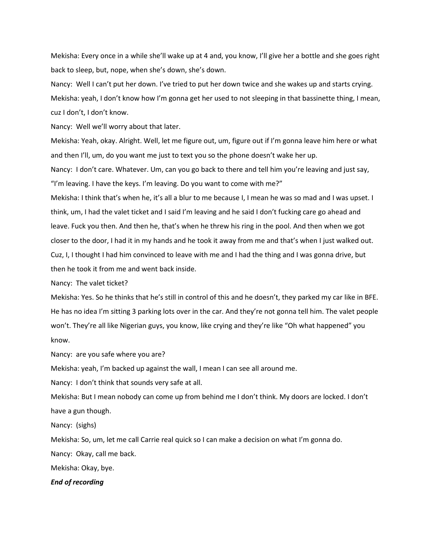Mekisha: Every once in a while she'll wake up at 4 and, you know, I'll give her a bottle and she goes right back to sleep, but, nope, when she's down, she's down.

Nancy: Well I can't put her down. I've tried to put her down twice and she wakes up and starts crying. Mekisha: yeah, I don't know how I'm gonna get her used to not sleeping in that bassinette thing, I mean, cuz I don't, I don't know.

Nancy: Well we'll worry about that later.

Mekisha: Yeah, okay. Alright. Well, let me figure out, um, figure out if I'm gonna leave him here or what and then I'll, um, do you want me just to text you so the phone doesn't wake her up.

Nancy: I don't care. Whatever. Um, can you go back to there and tell him you're leaving and just say, "I'm leaving. I have the keys. I'm leaving. Do you want to come with me?"

Mekisha: I think that's when he, it's all a blur to me because I, I mean he was so mad and I was upset. I think, um, I had the valet ticket and I said I'm leaving and he said I don't fucking care go ahead and leave. Fuck you then. And then he, that's when he threw his ring in the pool. And then when we got closer to the door, I had it in my hands and he took it away from me and that's when I just walked out. Cuz, I, I thought I had him convinced to leave with me and I had the thing and I was gonna drive, but then he took it from me and went back inside.

Nancy: The valet ticket?

Mekisha: Yes. So he thinks that he's still in control of this and he doesn't, they parked my car like in BFE. He has no idea I'm sitting 3 parking lots over in the car. And they're not gonna tell him. The valet people won't. They're all like Nigerian guys, you know, like crying and they're like "Oh what happened" you know.

Nancy: are you safe where you are?

Mekisha: yeah, I'm backed up against the wall, I mean I can see all around me.

Nancy: I don't think that sounds very safe at all.

Mekisha: But I mean nobody can come up from behind me I don't think. My doors are locked. I don't have a gun though.

Nancy: (sighs)

Mekisha: So, um, let me call Carrie real quick so I can make a decision on what I'm gonna do.

Nancy: Okay, call me back.

Mekisha: Okay, bye.

*End of recording*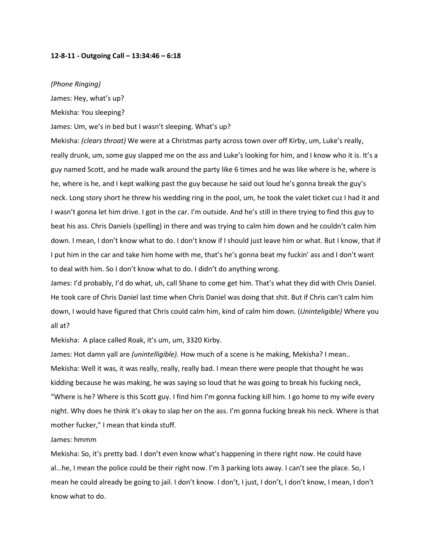#### **12-8-11 - Outgoing Call – 13:34:46 – 6:18**

#### *(Phone Ringing)*

James: Hey, what's up?

Mekisha: You sleeping?

James: Um, we's in bed but I wasn't sleeping. What's up?

Mekisha: *(clears throat)* We were at a Christmas party across town over off Kirby, um, Luke's really, really drunk, um, some guy slapped me on the ass and Luke's looking for him, and I know who it is. It's a guy named Scott, and he made walk around the party like 6 times and he was like where is he, where is he, where is he, and I kept walking past the guy because he said out loud he's gonna break the guy's neck. Long story short he threw his wedding ring in the pool, um, he took the valet ticket cuz I had it and I wasn't gonna let him drive. I got in the car. I'm outside. And he's still in there trying to find this guy to beat his ass. Chris Daniels (spelling) in there and was trying to calm him down and he couldn't calm him down. I mean, I don't know what to do. I don't know if I should just leave him or what. But I know, that if I put him in the car and take him home with me, that's he's gonna beat my fuckin' ass and I don't want to deal with him. So I don't know what to do. I didn't do anything wrong.

James: I'd probably, I'd do what, uh, call Shane to come get him. That's what they did with Chris Daniel. He took care of Chris Daniel last time when Chris Daniel was doing that shit. But if Chris can't calm him down, I would have figured that Chris could calm him, kind of calm him down. (*Uninteligible)* Where you all at?

Mekisha: A place called Roak, it's um, um, 3320 Kirby.

James: Hot damn yall are *(unintelligible).* How much of a scene is he making, Mekisha? I mean.. Mekisha: Well it was, it was really, really, really bad. I mean there were people that thought he was kidding because he was making, he was saying so loud that he was going to break his fucking neck, "Where is he? Where is this Scott guy. I find him I'm gonna fucking kill him. I go home to my wife every night. Why does he think it's okay to slap her on the ass. I'm gonna fucking break his neck. Where is that mother fucker," I mean that kinda stuff.

#### James: hmmm

Mekisha: So, it's pretty bad. I don't even know what's happening in there right now. He could have al…he, I mean the police could be their right now. I'm 3 parking lots away. I can't see the place. So, I mean he could already be going to jail. I don't know. I don't, I just, I don't, I don't know, I mean, I don't know what to do.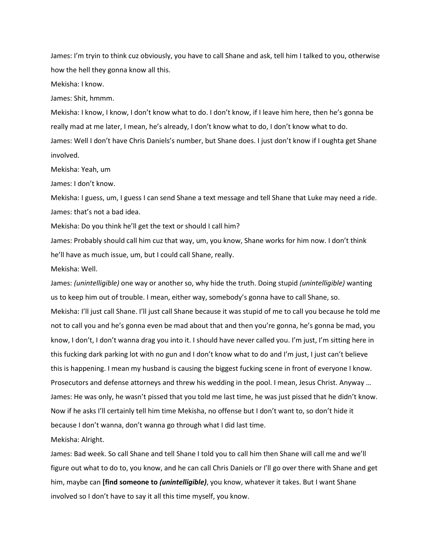James: I'm tryin to think cuz obviously, you have to call Shane and ask, tell him I talked to you, otherwise how the hell they gonna know all this.

Mekisha: I know.

James: Shit, hmmm.

Mekisha: I know, I know, I don't know what to do. I don't know, if I leave him here, then he's gonna be really mad at me later, I mean, he's already, I don't know what to do, I don't know what to do. James: Well I don't have Chris Daniels's number, but Shane does. I just don't know if I oughta get Shane involved.

Mekisha: Yeah, um

James: I don't know.

Mekisha: I guess, um, I guess I can send Shane a text message and tell Shane that Luke may need a ride. James: that's not a bad idea.

Mekisha: Do you think he'll get the text or should I call him?

James: Probably should call him cuz that way, um, you know, Shane works for him now. I don't think he'll have as much issue, um, but I could call Shane, really.

Mekisha: Well.

James: *(unintelligible)* one way or another so, why hide the truth. Doing stupid *(unintelligible)* wanting us to keep him out of trouble. I mean, either way, somebody's gonna have to call Shane, so. Mekisha: I'll just call Shane. I'll just call Shane because it was stupid of me to call you because he told me not to call you and he's gonna even be mad about that and then you're gonna, he's gonna be mad, you know, I don't, I don't wanna drag you into it. I should have never called you. I'm just, I'm sitting here in this fucking dark parking lot with no gun and I don't know what to do and I'm just, I just can't believe this is happening. I mean my husband is causing the biggest fucking scene in front of everyone I know. Prosecutors and defense attorneys and threw his wedding in the pool. I mean, Jesus Christ. Anyway … James: He was only, he wasn't pissed that you told me last time, he was just pissed that he didn't know. Now if he asks I'll certainly tell him time Mekisha, no offense but I don't want to, so don't hide it because I don't wanna, don't wanna go through what I did last time.

Mekisha: Alright.

James: Bad week. So call Shane and tell Shane I told you to call him then Shane will call me and we'll figure out what to do to, you know, and he can call Chris Daniels or I'll go over there with Shane and get him, maybe can **[find someone to** *(unintelligible)*, you know, whatever it takes. But I want Shane involved so I don't have to say it all this time myself, you know.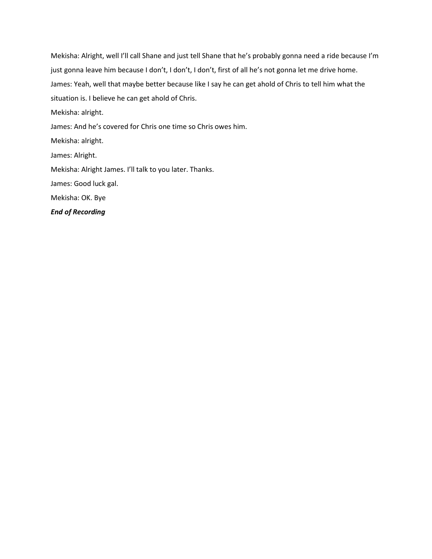Mekisha: Alright, well I'll call Shane and just tell Shane that he's probably gonna need a ride because I'm just gonna leave him because I don't, I don't, I don't, first of all he's not gonna let me drive home. James: Yeah, well that maybe better because like I say he can get ahold of Chris to tell him what the situation is. I believe he can get ahold of Chris. Mekisha: alright. James: And he's covered for Chris one time so Chris owes him. Mekisha: alright. James: Alright. Mekisha: Alright James. I'll talk to you later. Thanks. James: Good luck gal. Mekisha: OK. Bye *End of Recording*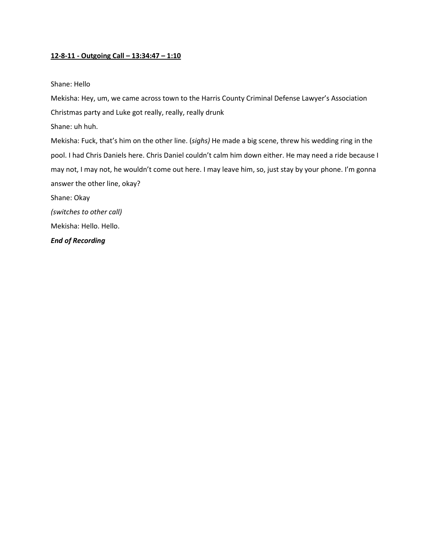## **12-8-11 - Outgoing Call – 13:34:47 – 1:10**

#### Shane: Hello

Mekisha: Hey, um, we came across town to the Harris County Criminal Defense Lawyer's Association Christmas party and Luke got really, really, really drunk

Shane: uh huh.

Mekisha: Fuck, that's him on the other line. (*sighs)* He made a big scene, threw his wedding ring in the pool. I had Chris Daniels here. Chris Daniel couldn't calm him down either. He may need a ride because I may not, I may not, he wouldn't come out here. I may leave him, so, just stay by your phone. I'm gonna answer the other line, okay?

Shane: Okay

*(switches to other call)*

Mekisha: Hello. Hello.

*End of Recording*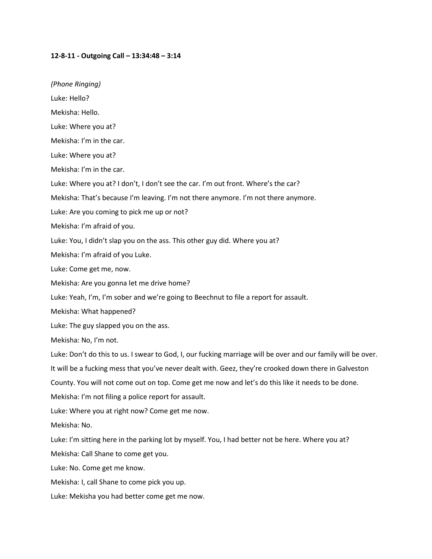#### **12-8-11 - Outgoing Call – 13:34:48 – 3:14**

*(Phone Ringing)*

Luke: Hello?

Mekisha: Hello.

Luke: Where you at?

Mekisha: I'm in the car.

Luke: Where you at?

Mekisha: I'm in the car.

Luke: Where you at? I don't, I don't see the car. I'm out front. Where's the car?

Mekisha: That's because I'm leaving. I'm not there anymore. I'm not there anymore.

Luke: Are you coming to pick me up or not?

Mekisha: I'm afraid of you.

Luke: You, I didn't slap you on the ass. This other guy did. Where you at?

Mekisha: I'm afraid of you Luke.

Luke: Come get me, now.

Mekisha: Are you gonna let me drive home?

Luke: Yeah, I'm, I'm sober and we're going to Beechnut to file a report for assault.

Mekisha: What happened?

Luke: The guy slapped you on the ass.

Mekisha: No, I'm not.

Luke: Don't do this to us. I swear to God, I, our fucking marriage will be over and our family will be over.

It will be a fucking mess that you've never dealt with. Geez, they're crooked down there in Galveston

County. You will not come out on top. Come get me now and let's do this like it needs to be done.

Mekisha: I'm not filing a police report for assault.

Luke: Where you at right now? Come get me now.

Mekisha: No.

Luke: I'm sitting here in the parking lot by myself. You, I had better not be here. Where you at?

Mekisha: Call Shane to come get you.

Luke: No. Come get me know.

Mekisha: I, call Shane to come pick you up.

Luke: Mekisha you had better come get me now.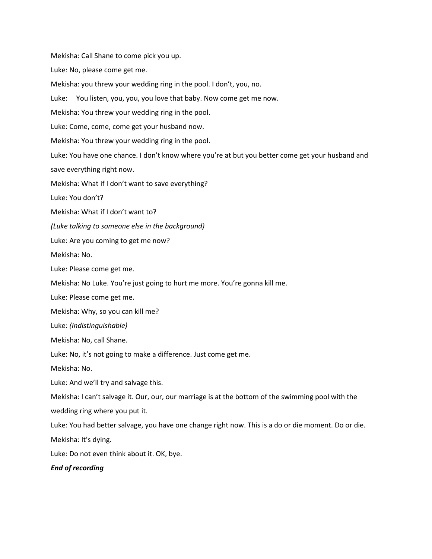Mekisha: Call Shane to come pick you up.

Luke: No, please come get me.

Mekisha: you threw your wedding ring in the pool. I don't, you, no.

Luke: You listen, you, you, you love that baby. Now come get me now.

Mekisha: You threw your wedding ring in the pool.

Luke: Come, come, come get your husband now.

Mekisha: You threw your wedding ring in the pool.

Luke: You have one chance. I don't know where you're at but you better come get your husband and save everything right now.

Mekisha: What if I don't want to save everything?

Luke: You don't?

Mekisha: What if I don't want to?

*(Luke talking to someone else in the background)*

Luke: Are you coming to get me now?

Mekisha: No.

Luke: Please come get me.

Mekisha: No Luke. You're just going to hurt me more. You're gonna kill me.

Luke: Please come get me.

Mekisha: Why, so you can kill me?

Luke: *(Indistinguishable)*

Mekisha: No, call Shane.

Luke: No, it's not going to make a difference. Just come get me.

Mekisha: No.

Luke: And we'll try and salvage this.

Mekisha: I can't salvage it. Our, our, our marriage is at the bottom of the swimming pool with the

wedding ring where you put it.

Luke: You had better salvage, you have one change right now. This is a do or die moment. Do or die.

Mekisha: It's dying.

Luke: Do not even think about it. OK, bye.

*End of recording*